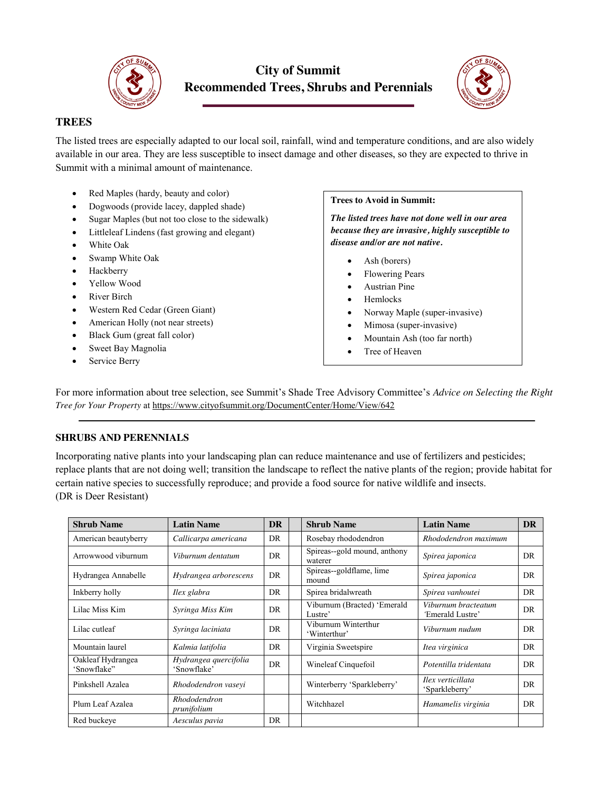

# **City of Summit Recommended Trees, Shrubs and Perennials**



## **TREES**

The listed trees are especially adapted to our local soil, rainfall, wind and temperature conditions, and are also widely available in our area. They are less susceptible to insect damage and other diseases, so they are expected to thrive in Summit with a minimal amount of maintenance.

- Red Maples (hardy, beauty and color)
- Dogwoods (provide lacey, dappled shade)
- Sugar Maples (but not too close to the sidewalk)
- Littleleaf Lindens (fast growing and elegant)
- White Oak
- Swamp White Oak
- Hackberry
- Yellow Wood
- River Birch
- Western Red Cedar (Green Giant)
- American Holly (not near streets)
- Black Gum (great fall color)
- Sweet Bay Magnolia
- Service Berry

## **Trees to Avoid in Summit:**

*The listed trees have not done well in our area because they are invasive, highly susceptible to disease and/or are not native.*

- Ash (borers)
- Flowering Pears
- Austrian Pine
- **Hemlocks**
- Norway Maple (super-invasive)
- Mimosa (super-invasive)
- Mountain Ash (too far north)
- Tree of Heaven

For more information about tree selection, see Summit's Shade Tree Advisory Committee's *Advice on Selecting the Right Tree for Your Property* at<https://www.cityofsummit.org/DocumentCenter/Home/View/642>

### **SHRUBS AND PERENNIALS**

Incorporating native plants into your landscaping plan can reduce maintenance and use of fertilizers and pesticides; replace plants that are not doing well; transition the landscape to reflect the native plants of the region; provide habitat for certain native species to successfully reproduce; and provide a food source for native wildlife and insects. (DR is Deer Resistant)

| <b>Shrub Name</b>                | <b>Latin Name</b>                    | <b>DR</b> | <b>Shrub Name</b>                       | <b>Latin Name</b>                       | <b>DR</b> |
|----------------------------------|--------------------------------------|-----------|-----------------------------------------|-----------------------------------------|-----------|
| American beautyberry             | Callicarpa americana                 | DR        | Rosebay rhododendron                    | Rhododendron maximum                    |           |
| Arrowwood viburnum               | Viburnum dentatum                    | DR.       | Spireas--gold mound, anthony<br>waterer | Spirea japonica                         | DR        |
| Hydrangea Annabelle              | Hydrangea arborescens                | DR.       | Spireas--goldflame, lime<br>mound       | Spirea japonica                         | DR        |
| Inkberry holly                   | Ilex glabra                          | DR        | Spirea bridalwreath                     | Spirea vanhoutei                        | DR        |
| Lilac Miss Kim                   | Syringa Miss Kim                     | DR        | Viburnum (Bracted) 'Emerald<br>Lustre'  | Viburnum bracteatum<br>'Emerald Lustre' | DR        |
| Lilac cutleaf                    | Syringa laciniata                    | DR        | Viburnum Winterthur<br>'Winterthur'     | Viburnum nudum                          | DR        |
| Mountain laurel                  | Kalmia latifolia                     | DR        | Virginia Sweetspire                     | Itea virginica                          | DR        |
| Oakleaf Hydrangea<br>'Snowflake" | Hydrangea quercifolia<br>'Snowflake' | DR        | Wineleaf Cinquefoil                     | Potentilla tridentata                   | DR        |
| Pinkshell Azalea                 | Rhododendron vaseyi                  |           | Winterberry 'Sparkleberry'              | Ilex verticillata<br>'Sparkleberry'     | DR        |
| Plum Leaf Azalea                 | Rhododendron<br>prunifolium          |           | Witchhazel                              | Hamamelis virginia                      | DR        |
| Red buckeye                      | Aesculus pavia                       | DR        |                                         |                                         |           |